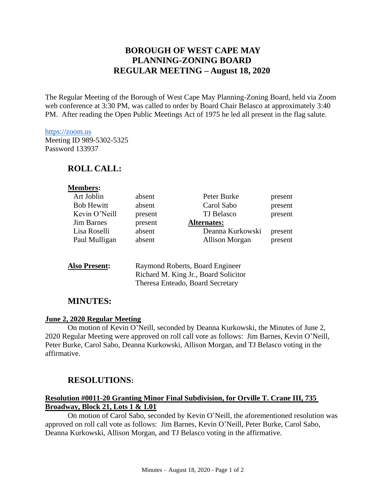## **BOROUGH OF WEST CAPE MAY PLANNING-ZONING BOARD REGULAR MEETING – August 18, 2020**

The Regular Meeting of the Borough of West Cape May Planning-Zoning Board, held via Zoom web conference at 3:30 PM, was called to order by Board Chair Belasco at approximately 3:40 PM. After reading the Open Public Meetings Act of 1975 he led all present in the flag salute.

#### [https://zoom.us](https://zoom.us/)

Meeting ID 989-5302-5325 Password 133937

### **ROLL CALL:**

# **Members:** Art Joblin absent Peter Burke present Bob Hewitt absent Carol Sabo present Kevin O'Neill present TJ Belasco present Jim Barnes present **Alternates:** Lisa Roselli absent Deanna Kurkowski present Paul Mulligan absent Allison Morgan present

| <b>Also Present:</b> | Raymond Roberts, Board Engineer      |
|----------------------|--------------------------------------|
|                      | Richard M. King Jr., Board Solicitor |
|                      | Theresa Enteado, Board Secretary     |

### **MINUTES:**

#### **June 2, 2020 Regular Meeting**

On motion of Kevin O'Neill, seconded by Deanna Kurkowski, the Minutes of June 2, 2020 Regular Meeting were approved on roll call vote as follows: Jim Barnes, Kevin O'Neill, Peter Burke, Carol Sabo, Deanna Kurkowski, Allison Morgan, and TJ Belasco voting in the affirmative.

### **RESOLUTIONS:**

#### **Resolution #0011-20 Granting Minor Final Subdivision, for Orville T. Crane III, 735 Broadway, Block 21, Lots 1 & 1.01**

On motion of Carol Sabo, seconded by Kevin O'Neill, the aforementioned resolution was approved on roll call vote as follows: Jim Barnes, Kevin O'Neill, Peter Burke, Carol Sabo, Deanna Kurkowski, Allison Morgan, and TJ Belasco voting in the affirmative.